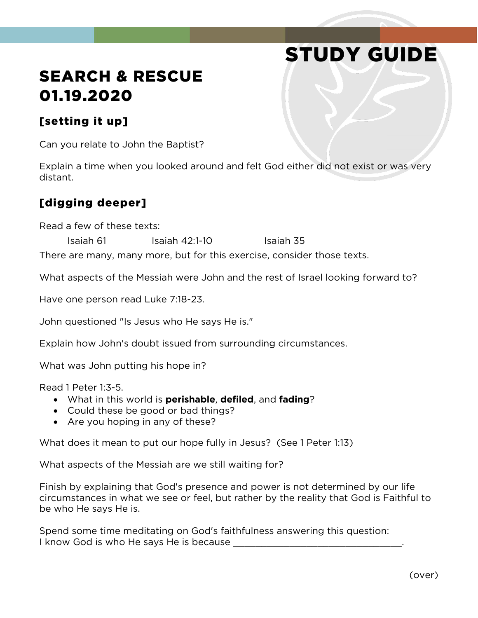# STUDY GUIDE

# SEARCH & RESCUE 01.19.2020

#### [setting it up]

Can you relate to John the Baptist?

Explain a time when you looked around and felt God either did not exist or was very distant.

### [digging deeper]

Read a few of these texts:

Isaiah 61 Isaiah 42:1-10 Isaiah 35

There are many, many more, but for this exercise, consider those texts.

What aspects of the Messiah were John and the rest of Israel looking forward to?

Have one person read Luke 7:18-23.

John questioned "Is Jesus who He says He is."

Explain how John's doubt issued from surrounding circumstances.

What was John putting his hope in?

Read 1 Peter 1:3-5.

- What in this world is **perishable**, **defiled**, and **fading**?
- Could these be good or bad things?
- Are you hoping in any of these?

What does it mean to put our hope fully in Jesus? (See 1 Peter 1:13)

What aspects of the Messiah are we still waiting for?

Finish by explaining that God's presence and power is not determined by our life circumstances in what we see or feel, but rather by the reality that God is Faithful to be who He says He is.

Spend some time meditating on God's faithfulness answering this question: I know God is who He says He is because